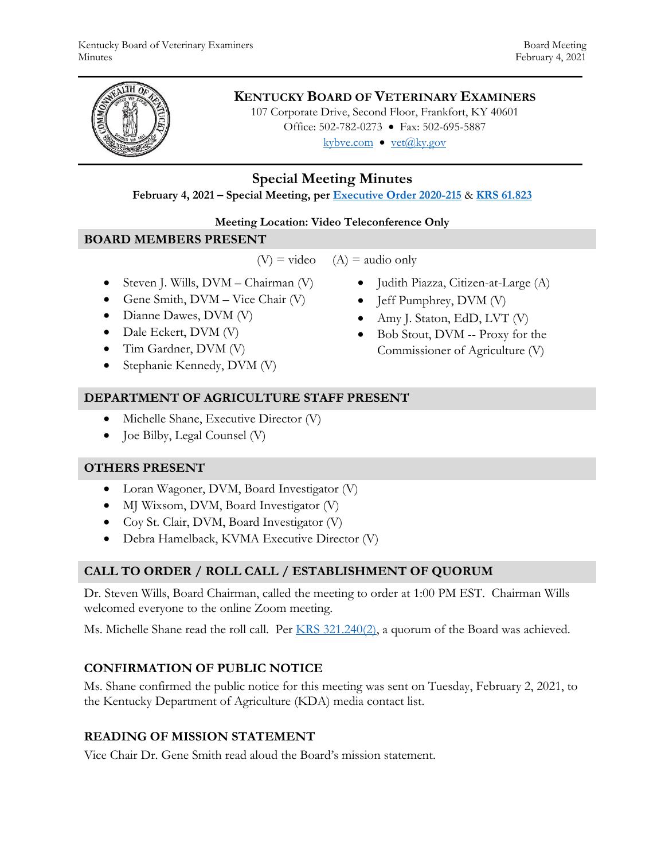

# **KENTUCKY BOARD OF VETERINARY EXAMINERS**

107 Corporate Drive, Second Floor, Frankfort, KY 40601 Office: 502-782-0273 • Fax: 502-695-5887 kybve.com  $\bullet$  vet@ky.gov

**Special Meeting Minutes**

**February 4, 2021 – Special Meeting, per [Executive Order 2020-215](https://governor.ky.gov/attachments/20200306_Executive-Order_2020-215.pdf)** & **[KRS 61.823](https://apps.legislature.ky.gov/law/statutes/statute.aspx?id=23047)**

### **Meeting Location: Video Teleconference Only**

## **BOARD MEMBERS PRESENT**

 $(V)$  = video  $(A)$  = audio only

- $\bullet$  Steven J. Wills, DVM Chairman (V)
- Gene Smith,  $DVM Vice$  Chair  $(V)$
- Dianne Dawes, DVM (V)
- Dale Eckert, DVM (V)
- Tim Gardner, DVM (V)
- Stephanie Kennedy, DVM (V)
- **DEPARTMENT OF AGRICULTURE STAFF PRESENT**
	- Michelle Shane, Executive Director (V)
	- Joe Bilby, Legal Counsel (V)

# **OTHERS PRESENT**

- Loran Wagoner, DVM, Board Investigator (V)
- MJ Wixsom, DVM, Board Investigator (V)
- Coy St. Clair, DVM, Board Investigator (V)
- Debra Hamelback, KVMA Executive Director (V)

# **CALL TO ORDER / ROLL CALL / ESTABLISHMENT OF QUORUM**

Dr. Steven Wills, Board Chairman, called the meeting to order at 1:00 PM EST. Chairman Wills welcomed everyone to the online Zoom meeting.

Ms. Michelle Shane read the roll call. Per [KRS 321.240\(2\),](https://apps.legislature.ky.gov/law/statutes/statute.aspx?id=45333) a quorum of the Board was achieved.

# **CONFIRMATION OF PUBLIC NOTICE**

Ms. Shane confirmed the public notice for this meeting was sent on Tuesday, February 2, 2021, to the Kentucky Department of Agriculture (KDA) media contact list.

# **READING OF MISSION STATEMENT**

Vice Chair Dr. Gene Smith read aloud the Board's mission statement.

- Judith Piazza, Citizen-at-Large (A)
- Jeff Pumphrey, DVM (V)
- Amy J. Staton, EdD, LVT (V)
- Bob Stout, DVM -- Proxy for the Commissioner of Agriculture (V)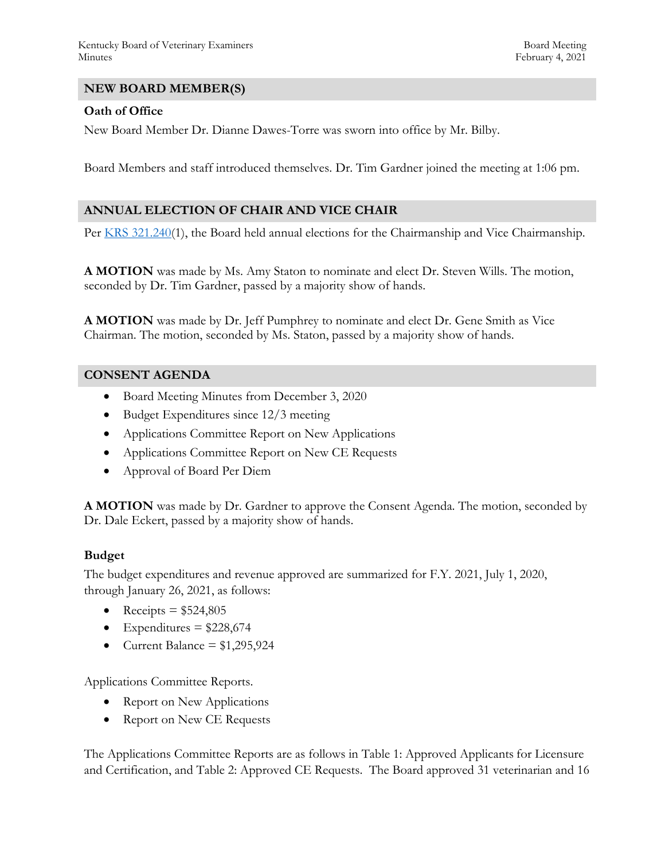#### **NEW BOARD MEMBER(S)**

#### **Oath of Office**

New Board Member Dr. Dianne Dawes-Torre was sworn into office by Mr. Bilby.

Board Members and staff introduced themselves. Dr. Tim Gardner joined the meeting at 1:06 pm.

#### **ANNUAL ELECTION OF CHAIR AND VICE CHAIR**

Per [KRS 321.240\(](https://apps.legislature.ky.gov/law/statutes/statute.aspx?id=45333)1), the Board held annual elections for the Chairmanship and Vice Chairmanship.

**A MOTION** was made by Ms. Amy Staton to nominate and elect Dr. Steven Wills. The motion, seconded by Dr. Tim Gardner, passed by a majority show of hands.

**A MOTION** was made by Dr. Jeff Pumphrey to nominate and elect Dr. Gene Smith as Vice Chairman. The motion, seconded by Ms. Staton, passed by a majority show of hands.

#### **CONSENT AGENDA**

- Board Meeting Minutes from December 3, 2020
- Budget Expenditures since 12/3 meeting
- Applications Committee Report on New Applications
- Applications Committee Report on New CE Requests
- Approval of Board Per Diem

**A MOTION** was made by Dr. Gardner to approve the Consent Agenda. The motion, seconded by Dr. Dale Eckert, passed by a majority show of hands.

#### **Budget**

The budget expenditures and revenue approved are summarized for F.Y. 2021, July 1, 2020, through January 26, 2021, as follows:

- Receipts =  $$524,805$
- Expenditures =  $$228,674$
- Current Balance  $= $1,295,924$

Applications Committee Reports.

- Report on New Applications
- Report on New CE Requests

The Applications Committee Reports are as follows in Table 1: Approved Applicants for Licensure and Certification, and Table 2: Approved CE Requests. The Board approved 31 veterinarian and 16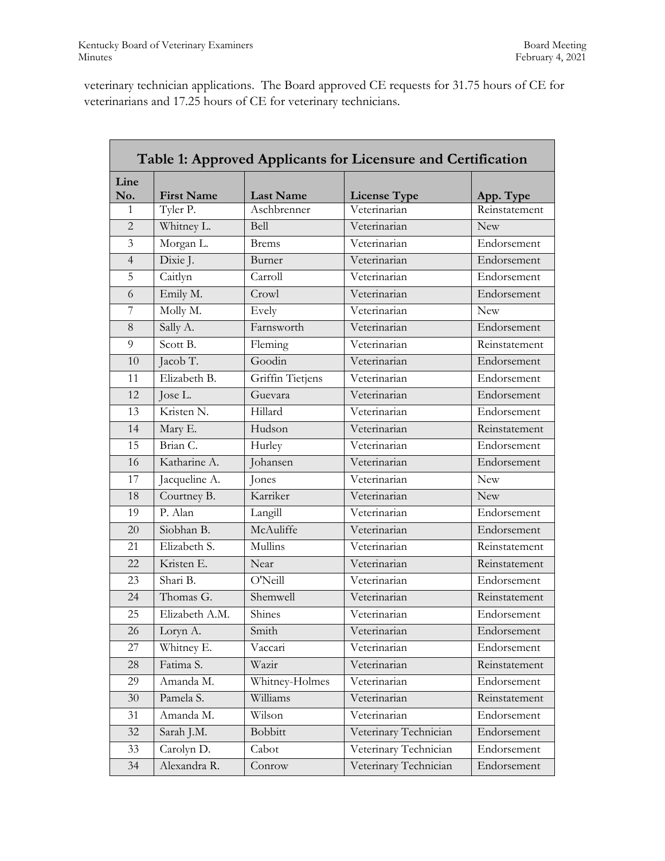veterinary technician applications. The Board approved CE requests for 31.75 hours of CE for veterinarians and 17.25 hours of CE for veterinary technicians.

| Table 1: Approved Applicants for Licensure and Certification |                   |                  |                       |               |  |
|--------------------------------------------------------------|-------------------|------------------|-----------------------|---------------|--|
| Line<br>No.                                                  | <b>First Name</b> | <b>Last Name</b> | <b>License Type</b>   | App. Type     |  |
| 1                                                            | Tyler P.          | Aschbrenner      | Veterinarian          | Reinstatement |  |
| $\overline{2}$                                               | Whitney L.        | Bell             | Veterinarian          | <b>New</b>    |  |
| $\overline{3}$                                               | Morgan L.         | <b>Brems</b>     | Veterinarian          | Endorsement   |  |
| $\overline{4}$                                               | Dixie J.          | Burner           | Veterinarian          | Endorsement   |  |
| 5                                                            | Caitlyn           | Carroll          | Veterinarian          | Endorsement   |  |
| 6                                                            | Emily M.          | Crowl            | Veterinarian          | Endorsement   |  |
| 7                                                            | Molly M.          | Evely            | Veterinarian          | <b>New</b>    |  |
| 8                                                            | Sally A.          | Farnsworth       | Veterinarian          | Endorsement   |  |
| 9                                                            | Scott B.          | Fleming          | Veterinarian          | Reinstatement |  |
| 10                                                           | Jacob T.          | Goodin           | Veterinarian          | Endorsement   |  |
| 11                                                           | Elizabeth B.      | Griffin Tietjens | Veterinarian          | Endorsement   |  |
| 12                                                           | Jose L.           | Guevara          | Veterinarian          | Endorsement   |  |
| 13                                                           | Kristen N.        | Hillard          | Veterinarian          | Endorsement   |  |
| 14                                                           | Mary E.           | Hudson           | Veterinarian          | Reinstatement |  |
| 15                                                           | Brian C.          | Hurley           | Veterinarian          | Endorsement   |  |
| 16                                                           | Katharine A.      | Johansen         | Veterinarian          | Endorsement   |  |
| 17                                                           | Jacqueline A.     | Jones            | Veterinarian          | New           |  |
| 18                                                           | Courtney B.       | Karriker         | Veterinarian          | <b>New</b>    |  |
| 19                                                           | P. Alan           | Langill          | Veterinarian          | Endorsement   |  |
| 20                                                           | Siobhan B.        | McAuliffe        | Veterinarian          | Endorsement   |  |
| 21                                                           | Elizabeth S.      | Mullins          | Veterinarian          | Reinstatement |  |
| 22                                                           | Kristen E.        | Near             | Veterinarian          | Reinstatement |  |
| 23                                                           | Shari B.          | O'Neill          | Veterinarian          | Endorsement   |  |
| 24                                                           | Thomas G.         | Shemwell         | Veterinarian          | Reinstatement |  |
| 25                                                           | Elizabeth A.M.    | Shines           | Veterinarian          | Endorsement   |  |
| 26                                                           | Loryn A.          | Smith            | Veterinarian          | Endorsement   |  |
| 27                                                           | Whitney E.        | Vaccari          | Veterinarian          | Endorsement   |  |
| 28                                                           | Fatima S.         | Wazir            | Veterinarian          | Reinstatement |  |
| 29                                                           | Amanda M.         | Whitney-Holmes   | Veterinarian          | Endorsement   |  |
| 30                                                           | Pamela S.         | Williams         | Veterinarian          | Reinstatement |  |
| 31                                                           | Amanda M.         | Wilson           | Veterinarian          | Endorsement   |  |
| 32                                                           | Sarah J.M.        | <b>Bobbitt</b>   | Veterinary Technician | Endorsement   |  |
| 33                                                           | Carolyn D.        | Cabot            | Veterinary Technician | Endorsement   |  |
| 34                                                           | Alexandra R.      | Conrow           | Veterinary Technician | Endorsement   |  |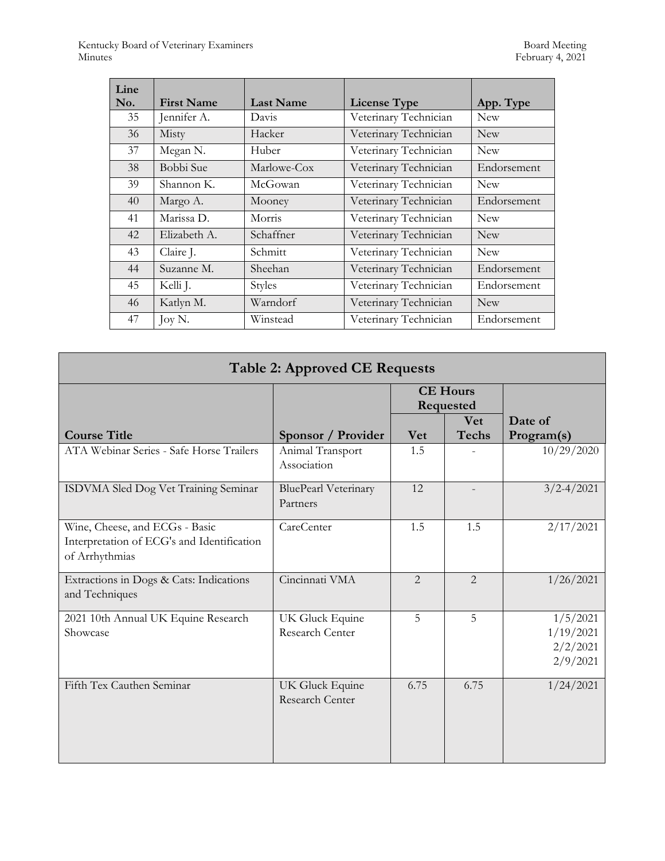| Line<br>No. | <b>First Name</b> | <b>Last Name</b> | <b>License Type</b>   | App. Type   |
|-------------|-------------------|------------------|-----------------------|-------------|
| 35          | Jennifer A.       | Davis            | Veterinary Technician | <b>New</b>  |
| 36          | Misty             | Hacker           | Veterinary Technician | <b>New</b>  |
| 37          | Megan N.          | Huber            | Veterinary Technician | <b>New</b>  |
| 38          | Bobbi Sue         | Marlowe-Cox      | Veterinary Technician | Endorsement |
| 39          | Shannon K.        | McGowan          | Veterinary Technician | <b>New</b>  |
| 40          | Margo A.          | Mooney           | Veterinary Technician | Endorsement |
| 41          | Marissa D.        | Morris           | Veterinary Technician | <b>New</b>  |
| 42          | Elizabeth A.      | Schaffner        | Veterinary Technician | <b>New</b>  |
| 43          | Claire J.         | Schmitt          | Veterinary Technician | <b>New</b>  |
| 44          | Suzanne M.        | Sheehan          | Veterinary Technician | Endorsement |
| 45          | Kelli J.          | <b>Styles</b>    | Veterinary Technician | Endorsement |
| 46          | Katlyn M.         | Warndorf         | Veterinary Technician | <b>New</b>  |
| 47          | Joy N.            | Winstead         | Veterinary Technician | Endorsement |

| <b>Table 2: Approved CE Requests</b>                                                           |                                         |                              |                            |                                               |  |
|------------------------------------------------------------------------------------------------|-----------------------------------------|------------------------------|----------------------------|-----------------------------------------------|--|
|                                                                                                |                                         | <b>CE Hours</b><br>Requested |                            |                                               |  |
| <b>Course Title</b>                                                                            | Sponsor / Provider                      | <b>Vet</b>                   | <b>Vet</b><br><b>Techs</b> | Date of<br>Program(s)                         |  |
| ATA Webinar Series - Safe Horse Trailers                                                       | Animal Transport<br>Association         | 1.5                          |                            | 10/29/2020                                    |  |
| ISDVMA Sled Dog Vet Training Seminar                                                           | <b>BluePearl Veterinary</b><br>Partners | 12                           |                            | $3/2 - 4/2021$                                |  |
| Wine, Cheese, and ECGs - Basic<br>Interpretation of ECG's and Identification<br>of Arrhythmias | CareCenter                              | 1.5                          | 1.5                        | 2/17/2021                                     |  |
| Extractions in Dogs & Cats: Indications<br>and Techniques                                      | Cincinnati VMA                          | $\mathcal{L}$                | $\mathcal{L}$              | 1/26/2021                                     |  |
| 2021 10th Annual UK Equine Research<br>Showcase                                                | UK Gluck Equine<br>Research Center      | 5                            | 5                          | 1/5/2021<br>1/19/2021<br>2/2/2021<br>2/9/2021 |  |
| Fifth Tex Cauthen Seminar                                                                      | UK Gluck Equine<br>Research Center      | 6.75                         | 6.75                       | 1/24/2021                                     |  |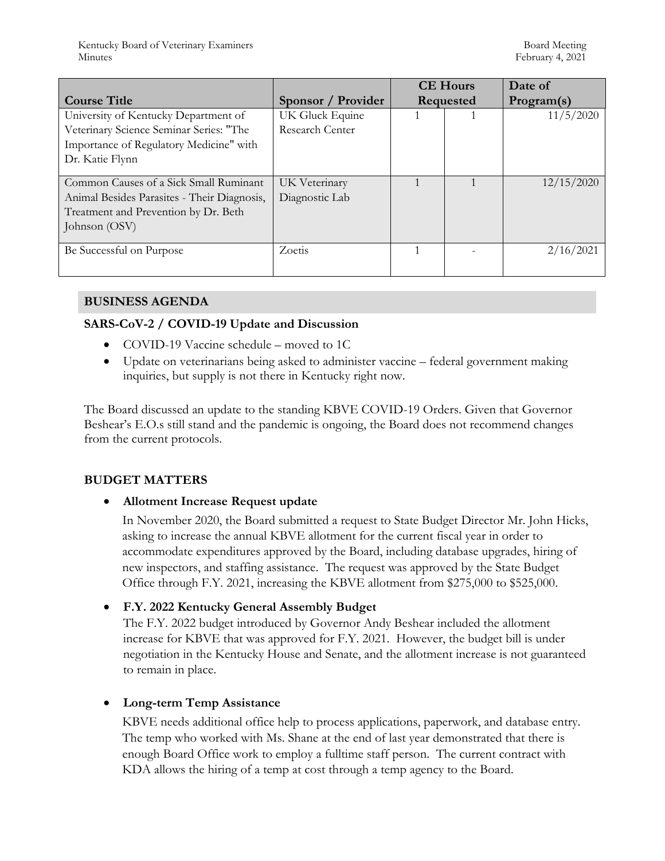|                                             |                    | <b>CE Hours</b> |  | Date of    |
|---------------------------------------------|--------------------|-----------------|--|------------|
| <b>Course Title</b>                         | Sponsor / Provider | Requested       |  | Program(s) |
| University of Kentucky Department of        | UK Gluck Equine    |                 |  | 11/5/2020  |
| Veterinary Science Seminar Series: "The     | Research Center    |                 |  |            |
| Importance of Regulatory Medicine" with     |                    |                 |  |            |
| Dr. Katie Flynn                             |                    |                 |  |            |
|                                             |                    |                 |  |            |
| Common Causes of a Sick Small Ruminant      | UK Veterinary      |                 |  | 12/15/2020 |
| Animal Besides Parasites - Their Diagnosis, | Diagnostic Lab     |                 |  |            |
| Treatment and Prevention by Dr. Beth        |                    |                 |  |            |
| Johnson (OSV)                               |                    |                 |  |            |
|                                             |                    |                 |  |            |
| Be Successful on Purpose                    | Zoetis             |                 |  | 2/16/2021  |
|                                             |                    |                 |  |            |

### **BUSINESS AGENDA**

### **SARS-CoV-2 / COVID-19 Update and Discussion**

- COVID-19 Vaccine schedule moved to 1C
- Update on veterinarians being asked to administer vaccine federal government making inquiries, but supply is not there in Kentucky right now.

The Board discussed an update to the standing KBVE COVID-19 Orders. Given that Governor Beshear's E.O.s still stand and the pandemic is ongoing, the Board does not recommend changes from the current protocols.

### **BUDGET MATTERS**

### **Allotment Increase Request update**

In November 2020, the Board submitted a request to State Budget Director Mr. John Hicks, asking to increase the annual KBVE allotment for the current fiscal year in order to accommodate expenditures approved by the Board, including database upgrades, hiring of new inspectors, and staffing assistance. The request was approved by the State Budget Office through F.Y. 2021, increasing the KBVE allotment from \$275,000 to \$525,000.

### **F.Y. 2022 Kentucky General Assembly Budget**

The F.Y. 2022 budget introduced by Governor Andy Beshear included the allotment increase for KBVE that was approved for F.Y. 2021. However, the budget bill is under negotiation in the Kentucky House and Senate, and the allotment increase is not guaranteed to remain in place.

### **Long-term Temp Assistance**

KBVE needs additional office help to process applications, paperwork, and database entry. The temp who worked with Ms. Shane at the end of last year demonstrated that there is enough Board Office work to employ a fulltime staff person. The current contract with KDA allows the hiring of a temp at cost through a temp agency to the Board.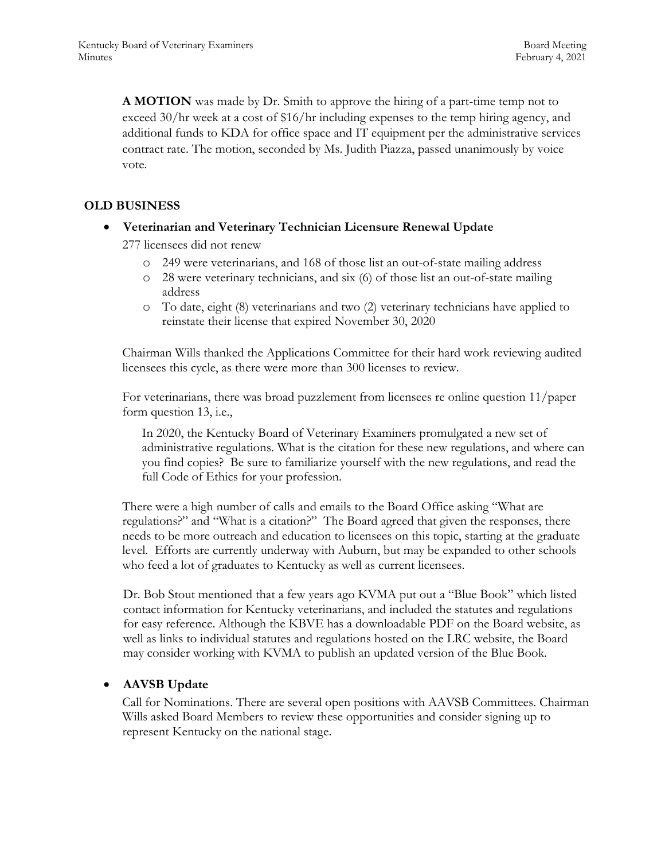**A MOTION** was made by Dr. Smith to approve the hiring of a part-time temp not to exceed 30/hr week at a cost of \$16/hr including expenses to the temp hiring agency, and additional funds to KDA for office space and IT equipment per the administrative services contract rate. The motion, seconded by Ms. Judith Piazza, passed unanimously by voice vote.

### **OLD BUSINESS**

**Veterinarian and Veterinary Technician Licensure Renewal Update**

277 licensees did not renew

- o 249 were veterinarians, and 168 of those list an out-of-state mailing address
- o 28 were veterinary technicians, and six (6) of those list an out-of-state mailing address
- o To date, eight (8) veterinarians and two (2) veterinary technicians have applied to reinstate their license that expired November 30, 2020

Chairman Wills thanked the Applications Committee for their hard work reviewing audited licensees this cycle, as there were more than 300 licenses to review.

For veterinarians, there was broad puzzlement from licensees re online question 11/paper form question 13, i.e.,

In 2020, the Kentucky Board of Veterinary Examiners promulgated a new set of administrative regulations. What is the citation for these new regulations, and where can you find copies? Be sure to familiarize yourself with the new regulations, and read the full Code of Ethics for your profession.

There were a high number of calls and emails to the Board Office asking "What are regulations?" and "What is a citation?" The Board agreed that given the responses, there needs to be more outreach and education to licensees on this topic, starting at the graduate level. Efforts are currently underway with Auburn, but may be expanded to other schools who feed a lot of graduates to Kentucky as well as current licensees.

Dr. Bob Stout mentioned that a few years ago KVMA put out a "Blue Book" which listed contact information for Kentucky veterinarians, and included the statutes and regulations for easy reference. Although the KBVE has a downloadable PDF on the Board website, as well as links to individual statutes and regulations hosted on the LRC website, the Board may consider working with KVMA to publish an updated version of the Blue Book.

#### **AAVSB Update**

Call for Nominations. There are several open positions with AAVSB Committees. Chairman Wills asked Board Members to review these opportunities and consider signing up to represent Kentucky on the national stage.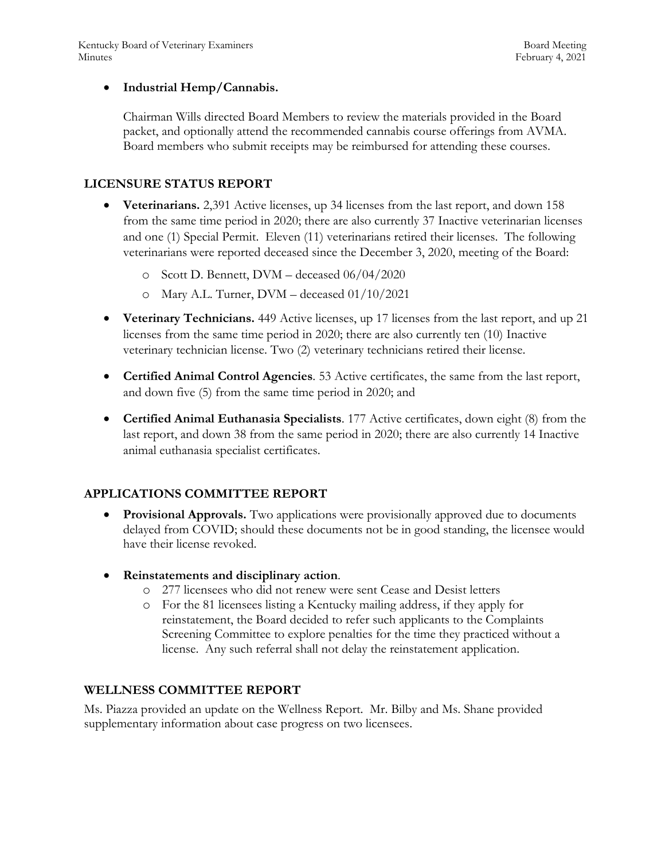### **Industrial Hemp/Cannabis.**

Chairman Wills directed Board Members to review the materials provided in the Board packet, and optionally attend the recommended cannabis course offerings from AVMA. Board members who submit receipts may be reimbursed for attending these courses.

### **LICENSURE STATUS REPORT**

- **Veterinarians.** 2,391 Active licenses, up 34 licenses from the last report, and down 158 from the same time period in 2020; there are also currently 37 Inactive veterinarian licenses and one (1) Special Permit. Eleven (11) veterinarians retired their licenses. The following veterinarians were reported deceased since the December 3, 2020, meeting of the Board:
	- o Scott D. Bennett, DVM deceased 06/04/2020
	- o Mary A.L. Turner, DVM deceased 01/10/2021
- **Veterinary Technicians.** 449 Active licenses, up 17 licenses from the last report, and up 21 licenses from the same time period in 2020; there are also currently ten (10) Inactive veterinary technician license. Two (2) veterinary technicians retired their license.
- **Certified Animal Control Agencies**. 53 Active certificates, the same from the last report, and down five (5) from the same time period in 2020; and
- **Certified Animal Euthanasia Specialists**. 177 Active certificates, down eight (8) from the last report, and down 38 from the same period in 2020; there are also currently 14 Inactive animal euthanasia specialist certificates.

### **APPLICATIONS COMMITTEE REPORT**

- **Provisional Approvals.** Two applications were provisionally approved due to documents delayed from COVID; should these documents not be in good standing, the licensee would have their license revoked.
- **Reinstatements and disciplinary action**.
	- o 277 licensees who did not renew were sent Cease and Desist letters
	- o For the 81 licensees listing a Kentucky mailing address, if they apply for reinstatement, the Board decided to refer such applicants to the Complaints Screening Committee to explore penalties for the time they practiced without a license. Any such referral shall not delay the reinstatement application.

#### **WELLNESS COMMITTEE REPORT**

Ms. Piazza provided an update on the Wellness Report. Mr. Bilby and Ms. Shane provided supplementary information about case progress on two licensees.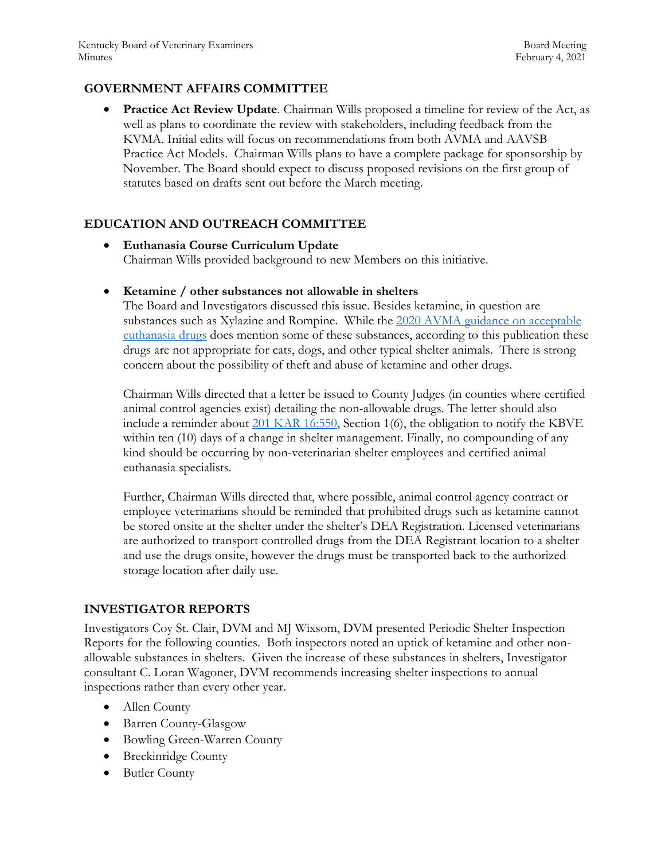### **GOVERNMENT AFFAIRS COMMITTEE**

 **Practice Act Review Update**. Chairman Wills proposed a timeline for review of the Act, as well as plans to coordinate the review with stakeholders, including feedback from the KVMA. Initial edits will focus on recommendations from both AVMA and AAVSB Practice Act Models. Chairman Wills plans to have a complete package for sponsorship by November. The Board should expect to discuss proposed revisions on the first group of statutes based on drafts sent out before the March meeting.

### **EDUCATION AND OUTREACH COMMITTEE**

 **Euthanasia Course Curriculum Update** Chairman Wills provided background to new Members on this initiative.

#### **Ketamine / other substances not allowable in shelters**

The Board and Investigators discussed this issue. Besides ketamine, in question are substances such as Xylazine and Rompine. While the 2020 [AVMA guidance on acceptable](https://www.avma.org/sites/default/files/2020-01/2020-Euthanasia-Final-1-17-20.pdf)  [euthanasia drugs](https://www.avma.org/sites/default/files/2020-01/2020-Euthanasia-Final-1-17-20.pdf) does mention some of these substances, according to this publication these drugs are not appropriate for cats, dogs, and other typical shelter animals. There is strong concern about the possibility of theft and abuse of ketamine and other drugs.

Chairman Wills directed that a letter be issued to County Judges (in counties where certified animal control agencies exist) detailing the non-allowable drugs. The letter should also include a reminder about  $201$  KAR 16:550, Section 1(6), the obligation to notify the KBVE within ten (10) days of a change in shelter management. Finally, no compounding of any kind should be occurring by non-veterinarian shelter employees and certified animal euthanasia specialists.

Further, Chairman Wills directed that, where possible, animal control agency contract or employee veterinarians should be reminded that prohibited drugs such as ketamine cannot be stored onsite at the shelter under the shelter's DEA Registration. Licensed veterinarians are authorized to transport controlled drugs from the DEA Registrant location to a shelter and use the drugs onsite, however the drugs must be transported back to the authorized storage location after daily use.

#### **INVESTIGATOR REPORTS**

Investigators Coy St. Clair, DVM and MJ Wixsom, DVM presented Periodic Shelter Inspection Reports for the following counties. Both inspectors noted an uptick of ketamine and other nonallowable substances in shelters. Given the increase of these substances in shelters, Investigator consultant C. Loran Wagoner, DVM recommends increasing shelter inspections to annual inspections rather than every other year.

- Allen County
- Barren County-Glasgow
- Bowling Green-Warren County
- Breckinridge County
- Butler County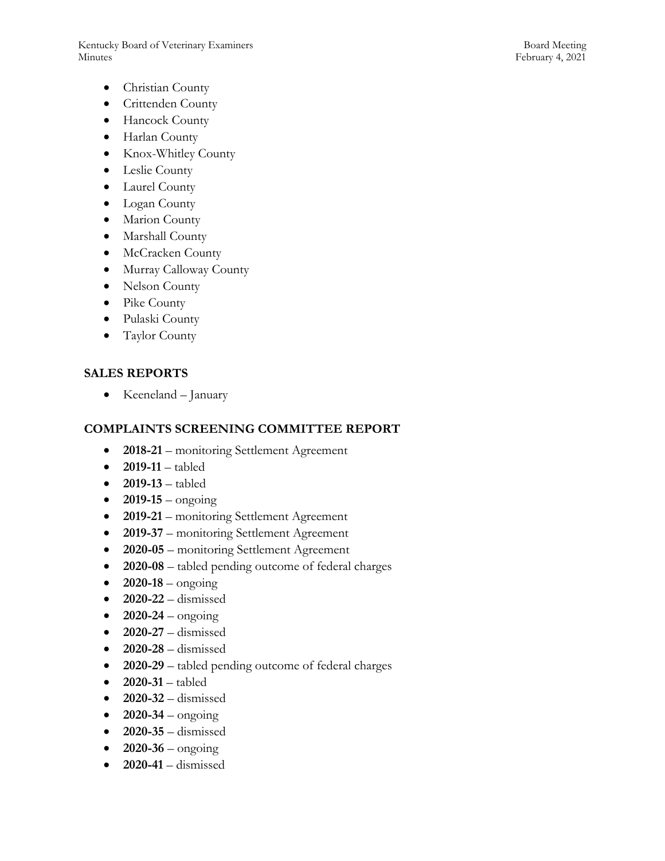Kentucky Board of Veterinary Examiners and the state of the Board Meeting Board Meeting Minutes February 4, 2021

- Christian County
- Crittenden County
- Hancock County
- Harlan County
- Knox-Whitley County
- Leslie County
- Laurel County
- Logan County
- Marion County
- Marshall County
- McCracken County
- Murray Calloway County
- Nelson County
- Pike County
- Pulaski County
- Taylor County

### **SALES REPORTS**

• Keeneland – January

#### **COMPLAINTS SCREENING COMMITTEE REPORT**

- **2018-21** monitoring Settlement Agreement
- **2019-11**  tabled
- **2019-13**  tabled
- $2019-15 -$  ongoing
- **2019-21**  monitoring Settlement Agreement
- **2019-37** monitoring Settlement Agreement
- **2020-05**  monitoring Settlement Agreement
- **2020-08**  tabled pending outcome of federal charges
- $2020 18 \text{ongoing}$
- **2020-22**  dismissed
- $2020-24 -$  ongoing
- **2020-27**  dismissed
- **2020-28**  dismissed
- **2020-29**  tabled pending outcome of federal charges
- 2020-31 tabled
- **2020-32**  dismissed
- $2020 34 \text{ongoing}$
- **2020-35**  dismissed
- $\bullet$  **2020-36** ongoing
- **2020-41**  dismissed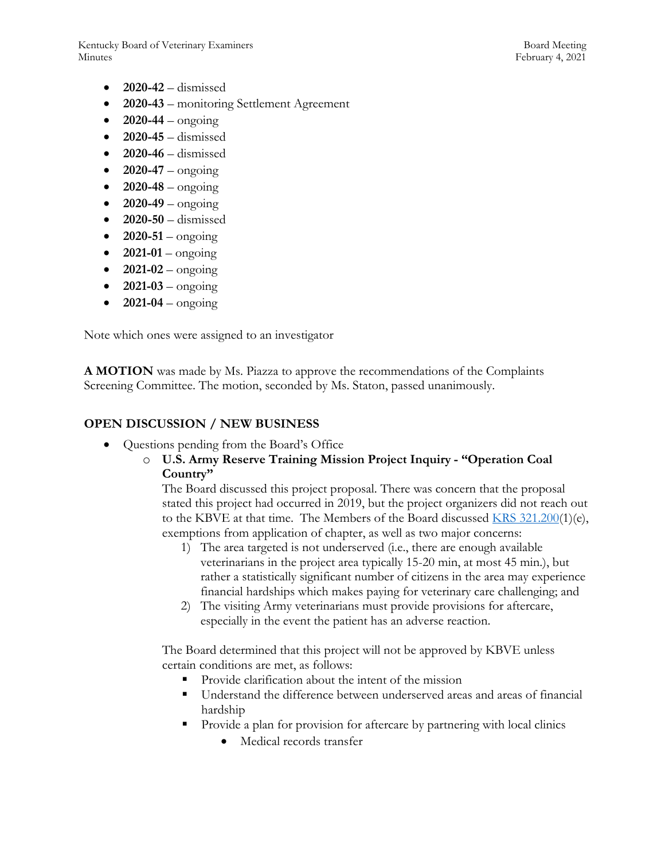Kentucky Board of Veterinary Examiners Board Meeting Board Meeting Minutes February 4, 2021

- **2020-42**  dismissed
- **2020-43**  monitoring Settlement Agreement
- $2020-44 \text{ongoing}$
- **2020-45**  dismissed
- **2020-46**  dismissed
- $2020-47 -$  ongoing
- **2020-48** ongoing
- $2020-49 \text{ongoing}$
- **2020-50**  dismissed
- $2020 51 \text{ongoing}$
- **2021-01**  ongoing
- $2021 02 \text{ongoing}$
- $2021 03 \text{ongoing}$
- $2021-04 \text{ongoing}$

Note which ones were assigned to an investigator

**A MOTION** was made by Ms. Piazza to approve the recommendations of the Complaints Screening Committee. The motion, seconded by Ms. Staton, passed unanimously.

#### **OPEN DISCUSSION / NEW BUSINESS**

- Questions pending from the Board's Office
	- o **U.S. Army Reserve Training Mission Project Inquiry - "Operation Coal Country"**

The Board discussed this project proposal. There was concern that the proposal stated this project had occurred in 2019, but the project organizers did not reach out to the KBVE at that time. The Members of the Board discussed [KRS 321.200\(](https://apps.legislature.ky.gov/law/statutes/statute.aspx?id=45325)1)(e), exemptions from application of chapter, as well as two major concerns:

- 1) The area targeted is not underserved (i.e., there are enough available veterinarians in the project area typically 15-20 min, at most 45 min.), but rather a statistically significant number of citizens in the area may experience financial hardships which makes paying for veterinary care challenging; and
- 2) The visiting Army veterinarians must provide provisions for aftercare, especially in the event the patient has an adverse reaction.

The Board determined that this project will not be approved by KBVE unless certain conditions are met, as follows:

- Provide clarification about the intent of the mission
- Understand the difference between underserved areas and areas of financial hardship
- **Provide a plan for provision for aftercare by partnering with local clinics** 
	- Medical records transfer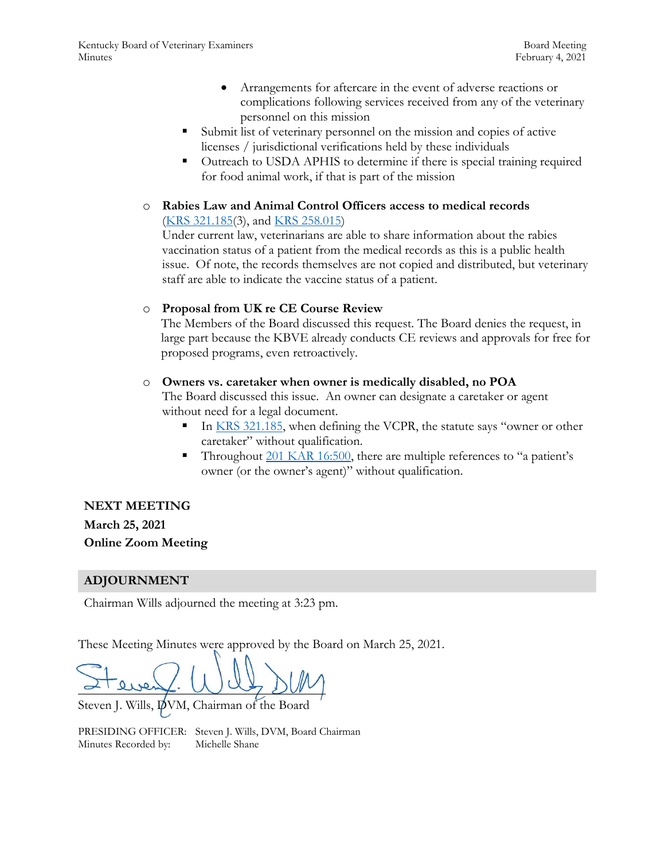- Arrangements for aftercare in the event of adverse reactions or complications following services received from any of the veterinary personnel on this mission
- Submit list of veterinary personnel on the mission and copies of active licenses / jurisdictional verifications held by these individuals
- Outreach to USDA APHIS to determine if there is special training required for food animal work, if that is part of the mission
- o **Rabies Law and Animal Control Officers access to medical records** [\(KRS 321.185\(](https://apps.legislature.ky.gov/law/statutes/statute.aspx?id=50450)3), and [KRS 258.015\)](https://apps.legislature.ky.gov/law/statutes/statute.aspx?id=48638)

Under current law, veterinarians are able to share information about the rabies vaccination status of a patient from the medical records as this is a public health issue. Of note, the records themselves are not copied and distributed, but veterinary staff are able to indicate the vaccine status of a patient.

#### o **Proposal from UK re CE Course Review**

The Members of the Board discussed this request. The Board denies the request, in large part because the KBVE already conducts CE reviews and approvals for free for proposed programs, even retroactively.

#### o **Owners vs. caretaker when owner is medically disabled, no POA**

The Board discussed this issue. An owner can designate a caretaker or agent without need for a legal document.

- In [KRS 321.185](https://apps.legislature.ky.gov/law/statutes/statute.aspx?id=50450), when defining the VCPR, the statute says "owner or other caretaker" without qualification.
- Throughout [201 KAR 16:500](https://apps.legislature.ky.gov/law/kar/201/016/500.pdf), there are multiple references to "a patient's owner (or the owner's agent)" without qualification.

**NEXT MEETING March 25, 2021 Online Zoom Meeting**

### **ADJOURNMENT**

Chairman Wills adjourned the meeting at 3:23 pm.

These Meeting Minutes were approved by the Board on March 25, 2021.

 $\sim$  every. Was  $\mathcal{D}(N)$ 

Steven J. Wills, DVM, Chairman of the Board

PRESIDING OFFICER: Steven J. Wills, DVM, Board Chairman Minutes Recorded by: Michelle Shane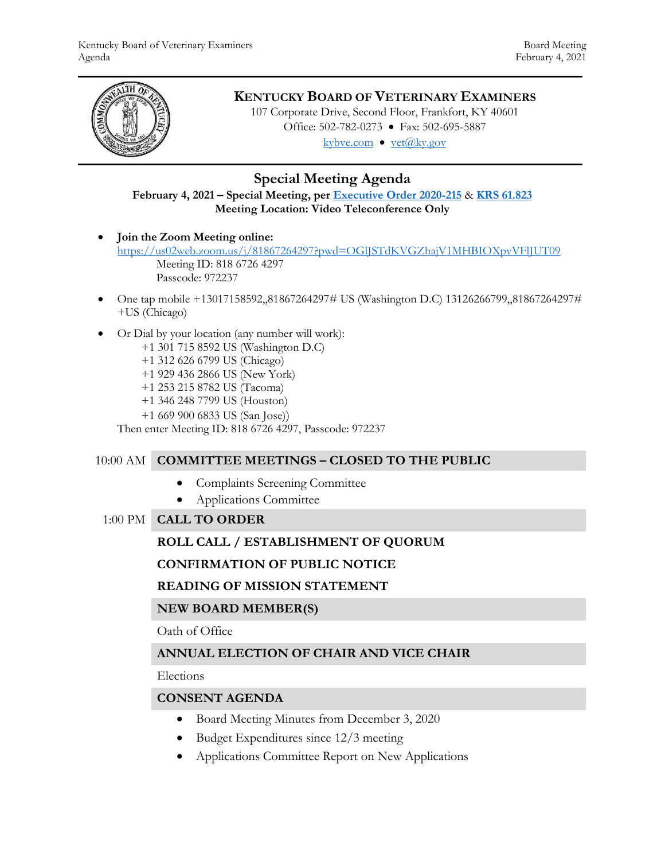

# **KENTUCKY BOARD OF VETERINARY EXAMINERS**

107 Corporate Drive, Second Floor, Frankfort, KY 40601 Office: 502-782-0273 • Fax: 502-695-5887 kybve.com  $\bullet$  yet $(\partial_k ky.gov)$ 

# **Special Meeting Agenda**

### **February 4, 2021 – Special Meeting, pe[r Executive Order 2020-215](https://governor.ky.gov/attachments/20200306_Executive-Order_2020-215.pdf)** & **[KRS 61.823](https://apps.legislature.ky.gov/law/statutes/statute.aspx?id=23047) Meeting Location: Video Teleconference Only**

- **Join the Zoom Meeting online:**  <https://us02web.zoom.us/j/81867264297?pwd=OGlJSTdKVGZhajV1MHBIOXpvVFlJUT09> Meeting ID: 818 6726 4297 Passcode: 972237
- One tap mobile +13017158592,,81867264297# US (Washington D.C) 13126266799,,81867264297# +US (Chicago)
- Or Dial by your location (any number will work):
	- +1 301 715 8592 US (Washington D.C)
	- +1 312 626 6799 US (Chicago)
	- +1 929 436 2866 US (New York)
	- +1 253 215 8782 US (Tacoma)
	- +1 346 248 7799 US (Houston)
	- +1 669 900 6833 US (San Jose))

Then enter Meeting ID: 818 6726 4297, Passcode: 972237

### 10:00 AM **COMMITTEE MEETINGS – CLOSED TO THE PUBLIC**

- Complaints Screening Committee
- Applications Committee
- 1:00 PM **CALL TO ORDER**

### **ROLL CALL / ESTABLISHMENT OF QUORUM**

### **CONFIRMATION OF PUBLIC NOTICE**

#### **READING OF MISSION STATEMENT**

#### **NEW BOARD MEMBER(S)**

#### Oath of Office

### **ANNUAL ELECTION OF CHAIR AND VICE CHAIR**

Elections

#### **CONSENT AGENDA**

- Board Meeting Minutes from December 3, 2020
- Budget Expenditures since 12/3 meeting
- Applications Committee Report on New Applications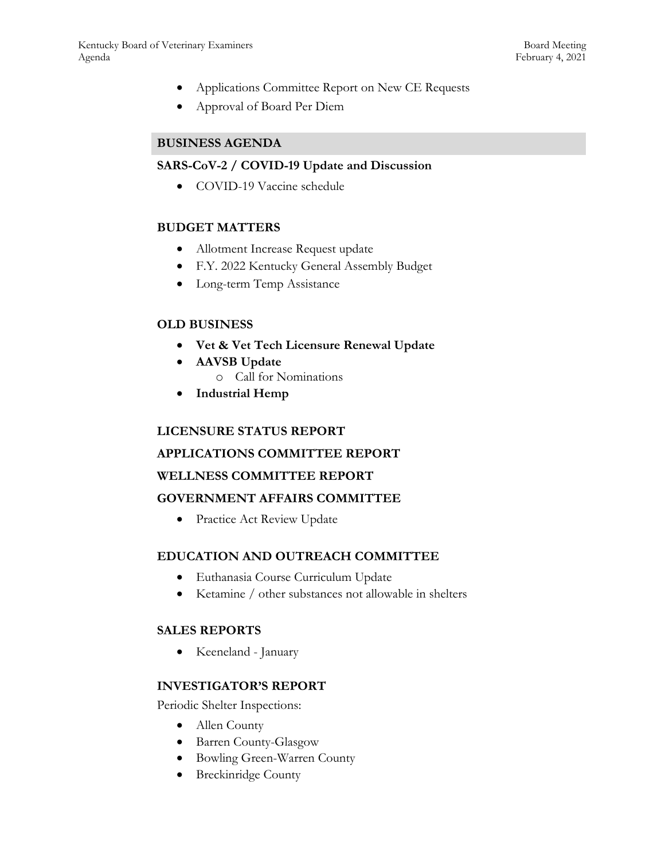- Applications Committee Report on New CE Requests
- Approval of Board Per Diem

### **BUSINESS AGENDA**

#### **SARS-CoV-2 / COVID-19 Update and Discussion**

• COVID-19 Vaccine schedule

### **BUDGET MATTERS**

- Allotment Increase Request update
- F.Y. 2022 Kentucky General Assembly Budget
- Long-term Temp Assistance

### **OLD BUSINESS**

- **Vet & Vet Tech Licensure Renewal Update**
- **AAVSB Update**
	- o Call for Nominations
- **Industrial Hemp**

#### **LICENSURE STATUS REPORT**

### **APPLICATIONS COMMITTEE REPORT**

#### **WELLNESS COMMITTEE REPORT**

#### **GOVERNMENT AFFAIRS COMMITTEE**

• Practice Act Review Update

#### **EDUCATION AND OUTREACH COMMITTEE**

- Euthanasia Course Curriculum Update
- Ketamine / other substances not allowable in shelters

#### **SALES REPORTS**

Keeneland - January

#### **INVESTIGATOR'S REPORT**

Periodic Shelter Inspections:

- Allen County
- Barren County-Glasgow
- Bowling Green-Warren County
- Breckinridge County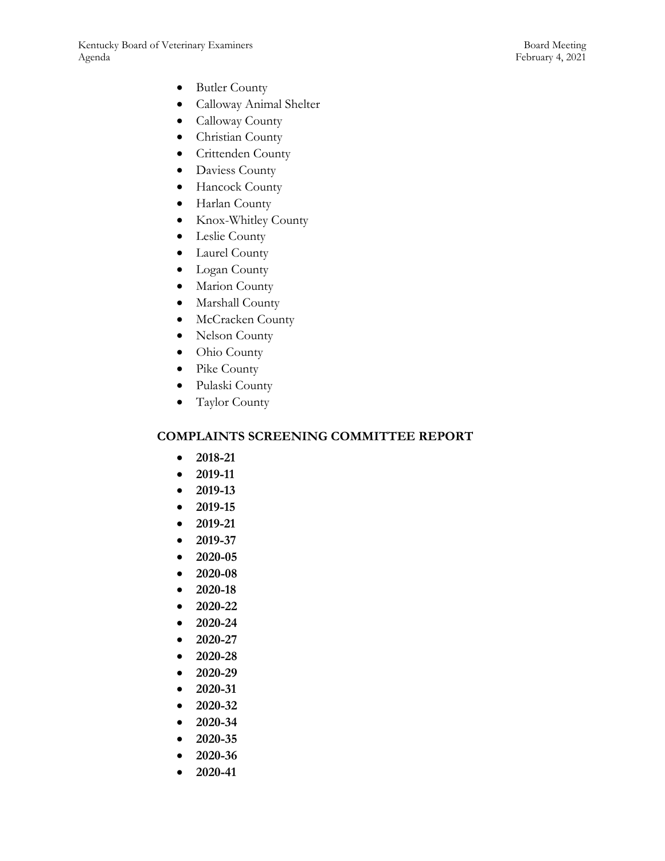- Butler County
- Calloway Animal Shelter
- Calloway County
- Christian County
- Crittenden County
- Daviess County
- Hancock County
- Harlan County
- Knox-Whitley County
- Leslie County
- Laurel County
- Logan County
- Marion County
- Marshall County
- McCracken County
- Nelson County
- Ohio County
- Pike County
- Pulaski County
- Taylor County

### **COMPLAINTS SCREENING COMMITTEE REPORT**

- **2018-21**
- **2019-11**
- **2019-13**
- **2019-15**
- **2019-21**
- **2019-37**
- **2020-05**
- **2020-08**
- **2020-18**
- **2020-22**
- **2020-24**
- **2020-27**
- 
- **2020-28**
- **2020-29**
- **2020-31**
- **2020-32**
- **2020-34**
- **2020-35**
- **2020-36**
- **2020-41**